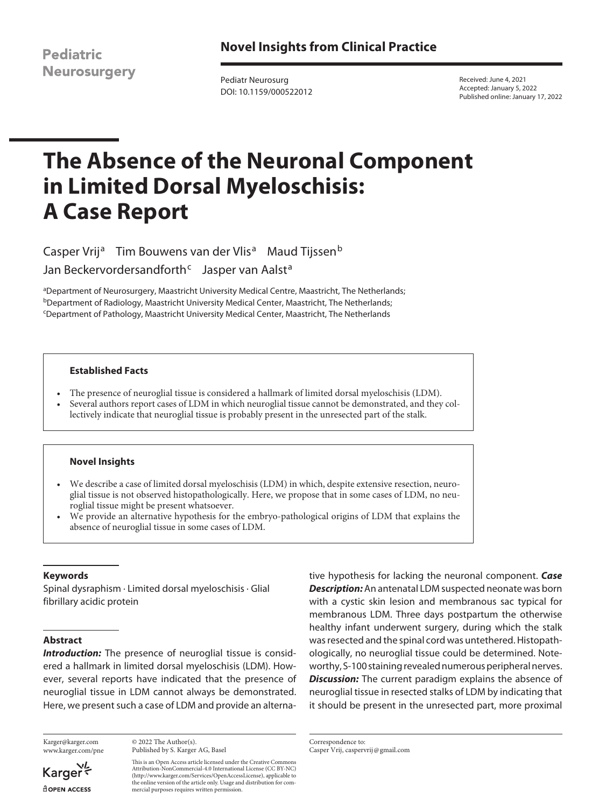**Novel Insights from Clinical Practice**

**Pediatric Neurosurgery** 

Pediatr Neurosurg DOI: 10.1159/000522012

Received: June 4, 2021 Accepted: January 5, 2022 Published online: January 17, 2022

# **The Absence of the Neuronal Component in Limited Dorsal Myeloschisis: A Case Report**

Casper Vrij<sup>a</sup> Tim Bouwens van der Vlis<sup>a</sup> Maud Tijssen<sup>b</sup> Jan Beckervordersandforth<sup>c</sup> Jasper van Aalst<sup>a</sup>

aDepartment of Neurosurgery, Maastricht University Medical Centre, Maastricht, The Netherlands; **bDepartment of Radiology, Maastricht University Medical Center, Maastricht, The Netherlands;** c Department of Pathology, Maastricht University Medical Center, Maastricht, The Netherlands

## **Established Facts**

- The presence of neuroglial tissue is considered a hallmark of limited dorsal myeloschisis (LDM).
- Several authors report cases of LDM in which neuroglial tissue cannot be demonstrated, and they collectively indicate that neuroglial tissue is probably present in the unresected part of the stalk.

# **Novel Insights**

- We describe a case of limited dorsal myeloschisis (LDM) in which, despite extensive resection, neuroglial tissue is not observed histopathologically. Here, we propose that in some cases of LDM, no neuroglial tissue might be present whatsoever.
- We provide an alternative hypothesis for the embryo-pathological origins of LDM that explains the absence of neuroglial tissue in some cases of LDM.

#### **Keywords**

Spinal dysraphism · Limited dorsal myeloschisis · Glial fibrillary acidic protein

# **Abstract**

**Introduction:** The presence of neuroglial tissue is considered a hallmark in limited dorsal myeloschisis (LDM). However, several reports have indicated that the presence of neuroglial tissue in LDM cannot always be demonstrated. Here, we present such a case of LDM and provide an alterna-

Karger@karger.com www.karger.com/pne

Karger dopen Access

© 2022 The Author(s). Published by S. Karger AG, Basel

This is an Open Access article licensed under the Creative Commons Attribution-NonCommercial-4.0 International License (CC BY-NC) (http://www.karger.com/Services/OpenAccessLicense), applicable to the online version of the article only. Usage and distribution for commercial purposes requires written permission.

tive hypothesis for lacking the neuronal component. *Case Description:* An antenatal LDM suspected neonate was born with a cystic skin lesion and membranous sac typical for membranous LDM. Three days postpartum the otherwise healthy infant underwent surgery, during which the stalk was resected and the spinal cord was untethered. Histopathologically, no neuroglial tissue could be determined. Noteworthy, S-100 staining revealed numerous peripheral nerves. *Discussion:* The current paradigm explains the absence of neuroglial tissue in resected stalks of LDM by indicating that it should be present in the unresected part, more proximal

Correspondence to: Casper Vrij, caspervrij@gmail.com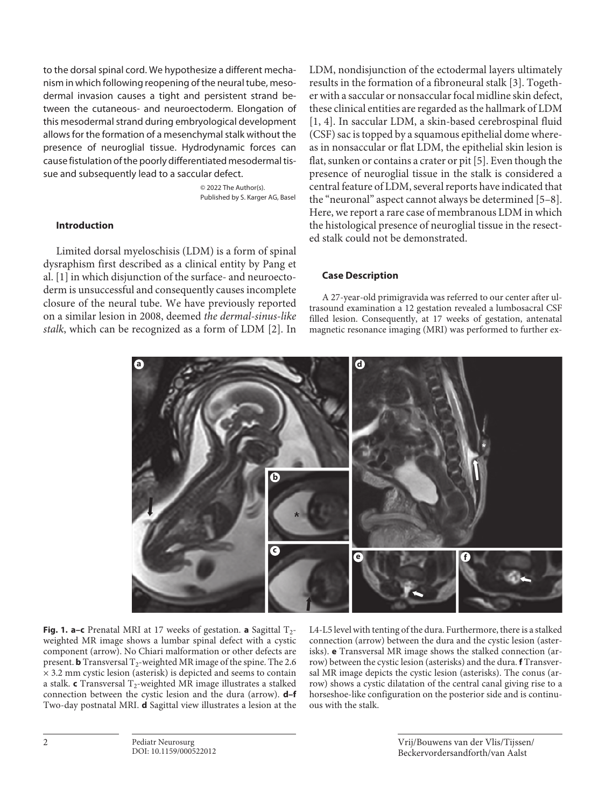to the dorsal spinal cord. We hypothesize a different mechanism in which following reopening of the neural tube, mesodermal invasion causes a tight and persistent strand between the cutaneous- and neuroectoderm. Elongation of this mesodermal strand during embryological development allows for the formation of a mesenchymal stalk without the presence of neuroglial tissue. Hydrodynamic forces can cause fistulation of the poorly differentiated mesodermal tissue and subsequently lead to a saccular defect.

> © 2022 The Author(s). Published by S. Karger AG, Basel

# **Introduction**

<span id="page-1-0"></span>Limited dorsal myeloschisis (LDM) is a form of spinal dysraphism first described as a clinical entity by Pang et al. [\[1\]](#page-5-0) in which disjunction of the surface- and neuroectoderm is unsuccessful and consequently causes incomplete closure of the neural tube. We have previously reported on a similar lesion in 2008, deemed *the dermal-sinus-like stalk*, which can be recognized as a form of LDM [\[2](#page-5-1)]. In

<span id="page-1-4"></span><span id="page-1-3"></span><span id="page-1-2"></span>LDM, nondisjunction of the ectodermal layers ultimately results in the formation of a fibroneural stalk [\[3](#page-5-2)]. Together with a saccular or nonsaccular focal midline skin defect, these clinical entities are regarded as the hallmark of LDM [[1,](#page-5-0) [4\]](#page-5-3). In saccular LDM, a skin-based cerebrospinal fluid (CSF) sac is topped by a squamous epithelial dome whereas in nonsaccular or flat LDM, the epithelial skin lesion is flat, sunken or contains a crater or pit [[5](#page-5-4)]. Even though the presence of neuroglial tissue in the stalk is considered a central feature of LDM, several reports have indicated that the "neuronal" aspect cannot always be determined [\[5–](#page-5-4)[8\]](#page-5-5). Here, we report a rare case of membranous LDM in which the histological presence of neuroglial tissue in the resected stalk could not be demonstrated.

## <span id="page-1-5"></span>**Case Description**

A 27-year-old primigravida was referred to our center after ultrasound examination a 12 gestation revealed a lumbosacral CSF filled lesion. Consequently, at 17 weeks of gestation, antenatal magnetic resonance imaging (MRI) was performed to further ex-

<span id="page-1-1"></span>

**Fig. 1. a–c** Prenatal MRI at 17 weeks of gestation. **a** Sagittal  $T_2$ weighted MR image shows a lumbar spinal defect with a cystic component (arrow). No Chiari malformation or other defects are present. **b** Transversal  $T_2$ -weighted MR image of the spine. The 2.6 × 3.2 mm cystic lesion (asterisk) is depicted and seems to contain a stalk. **c** Transversal T<sub>2</sub>-weighted MR image illustrates a stalked connection between the cystic lesion and the dura (arrow). **d–f** Two-day postnatal MRI. **d** Sagittal view illustrates a lesion at the

L4-L5 level with tenting of the dura. Furthermore, there is a stalked connection (arrow) between the dura and the cystic lesion (asterisks). **e** Transversal MR image shows the stalked connection (arrow) between the cystic lesion (asterisks) and the dura. **f** Transversal MR image depicts the cystic lesion (asterisks). The conus (arrow) shows a cystic dilatation of the central canal giving rise to a horseshoe-like configuration on the posterior side and is continuous with the stalk.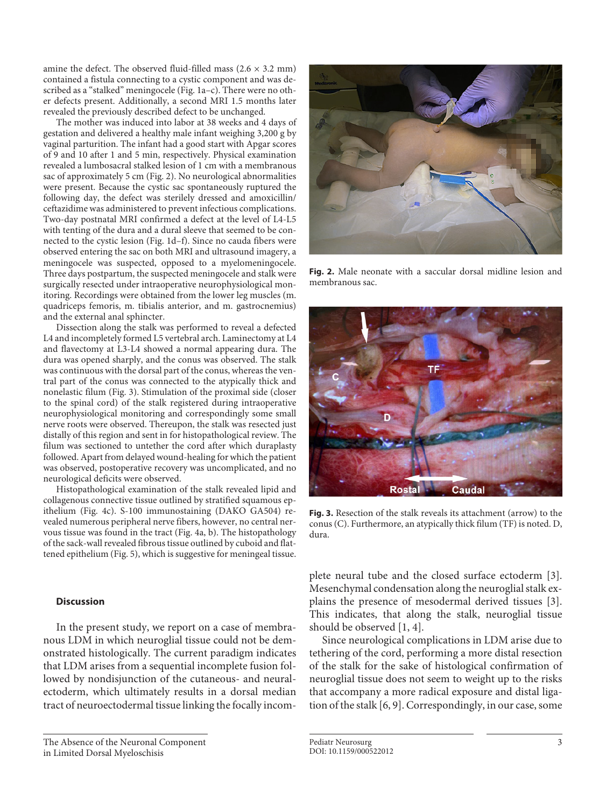amine the defect. The observed fluid-filled mass  $(2.6 \times 3.2 \text{ mm})$ contained a fistula connecting to a cystic component and was described as a "stalked" meningocele (Fig. 1a–c). There were no other defects present. Additionally, a second MRI 1.5 months later revealed the previously described defect to be unchanged.

The mother was induced into labor at 38 weeks and 4 days of gestation and delivered a healthy male infant weighing 3,200 g by vaginal parturition. The infant had a good start with Apgar scores of 9 and 10 after 1 and 5 min, respectively. Physical examination revealed a lumbosacral stalked lesion of 1 cm with a membranous sac of approximately 5 cm (Fig. 2). No neurological abnormalities were present. Because the cystic sac spontaneously ruptured the following day, the defect was sterilely dressed and amoxicillin/ ceftazidime was administered to prevent infectious complications. Two-day postnatal MRI confirmed a defect at the level of L4-L5 with tenting of the dura and a dural sleeve that seemed to be connected to the cystic lesion (Fig. 1d–f). Since no cauda fibers were observed entering the sac on both MRI and ultrasound imagery, a meningocele was suspected, opposed to a myelomeningocele. Three days postpartum, the suspected meningocele and stalk were surgically resected under intraoperative neurophysiological monitoring. Recordings were obtained from the lower leg muscles (m. quadriceps femoris, m. tibialis anterior, and m. gastrocnemius) and the external anal sphincter.

Dissection along the stalk was performed to reveal a defected L4 and incompletely formed L5 vertebral arch. Laminectomy at L4 and flavectomy at L3-L4 showed a normal appearing dura. The dura was opened sharply, and the conus was observed. The stalk was continuous with the dorsal part of the conus, whereas the ventral part of the conus was connected to the atypically thick and nonelastic filum (Fig. 3). Stimulation of the proximal side (closer to the spinal cord) of the stalk registered during intraoperative neurophysiological monitoring and correspondingly some small nerve roots were observed. Thereupon, the stalk was resected just distally of this region and sent in for histopathological review. The filum was sectioned to untether the cord after which duraplasty followed. Apart from delayed wound-healing for which the patient was observed, postoperative recovery was uncomplicated, and no neurological deficits were observed.

Histopathological examination of the stalk revealed lipid and collagenous connective tissue outlined by stratified squamous epithelium (Fig. 4c). S-100 immunostaining (DAKO GA504) revealed numerous peripheral nerve fibers, however, no central nervous tissue was found in the tract (Fig. 4a, b). The histopathology of the sack-wall revealed fibrous tissue outlined by cuboid and flattened epithelium (Fig. 5), which is suggestive for meningeal tissue.

#### **Discussion**

In the present study, we report on a case of membranous LDM in which neuroglial tissue could not be demonstrated histologically. The current paradigm indicates that LDM arises from a sequential incomplete fusion followed by nondisjunction of the cutaneous- and neuralectoderm, which ultimately results in a dorsal median tract of neuroectodermal tissue linking the focally incom-



**Fig. 2.** Male neonate with a saccular dorsal midline lesion and membranous sac.



**Fig. 3.** Resection of the stalk reveals its attachment (arrow) to the conus (C). Furthermore, an atypically thick filum (TF) is noted. D, dura.

plete neural tube and the closed surface ectoderm [\[3](#page-5-2)]. Mesenchymal condensation along the neuroglial stalk explains the presence of mesodermal derived tissues [\[3](#page-5-2)]. This indicates, that along the stalk, neuroglial tissue should be observed [\[1](#page-5-0), [4\]](#page-5-3).

<span id="page-2-0"></span>Since neurological complications in LDM arise due to tethering of the cord, performing a more distal resection of the stalk for the sake of histological confirmation of neuroglial tissue does not seem to weight up to the risks that accompany a more radical exposure and distal ligation of the stalk [\[6,](#page-5-6) [9](#page-5-7)]. Correspondingly, in our case, some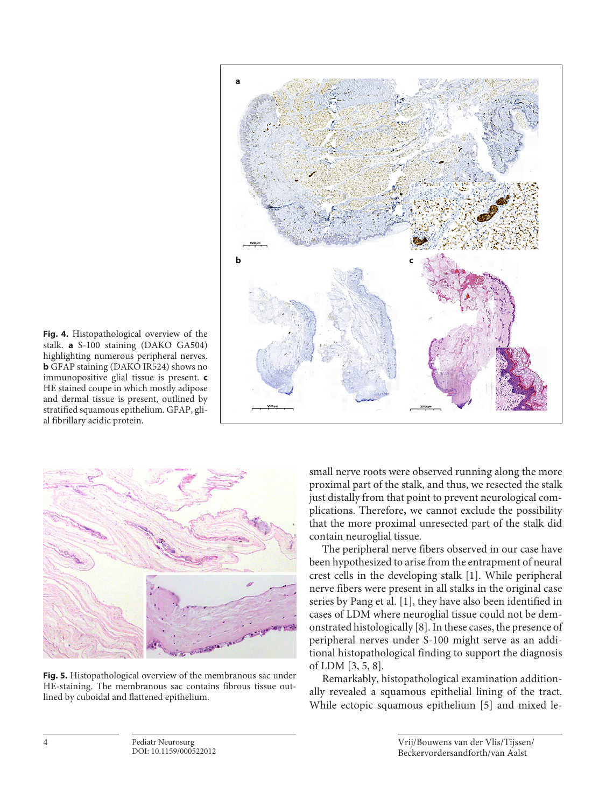

**Fig. 4.** Histopathological overview of the stalk. **a** S-100 staining (DAKO GA504) highlighting numerous peripheral nerves. **b** GFAP staining (DAKO IR524) shows no immunopositive glial tissue is present. **c** HE stained coupe in which mostly adipose and dermal tissue is present, outlined by stratified squamous epithelium. GFAP, glial fibrillary acidic protein.



**Fig. 5.** Histopathological overview of the membranous sac under HE-staining. The membranous sac contains fibrous tissue outlined by cuboidal and flattened epithelium.

small nerve roots were observed running along the more proximal part of the stalk, and thus, we resected the stalk just distally from that point to prevent neurological complications. Therefore**,** we cannot exclude the possibility that the more proximal unresected part of the stalk did contain neuroglial tissue.

The peripheral nerve fibers observed in our case have been hypothesized to arise from the entrapment of neural crest cells in the developing stalk [\[1\]](#page-5-0). While peripheral nerve fibers were present in all stalks in the original case series by Pang et al. [\[1\]](#page-5-0), they have also been identified in cases of LDM where neuroglial tissue could not be demonstrated histologically [[8\]](#page-5-5). In these cases, the presence of peripheral nerves under S-100 might serve as an additional histopathological finding to support the diagnosis of LDM [\[3,](#page-5-2) [5](#page-5-4), [8](#page-5-5)].

Remarkably, histopathological examination additionally revealed a squamous epithelial lining of the tract. While ectopic squamous epithelium [[5\]](#page-5-4) and mixed le-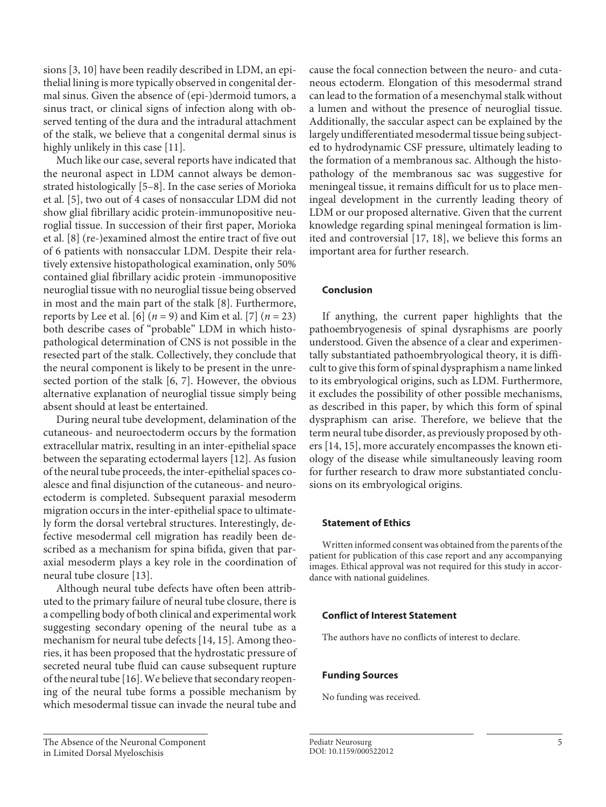sions [\[3,](#page-5-2) [10](#page-5-0)] have been readily described in LDM, an epithelial lining is more typically observed in congenital dermal sinus. Given the absence of (epi-)dermoid tumors, a sinus tract, or clinical signs of infection along with observed tenting of the dura and the intradural attachment of the stalk, we believe that a congenital dermal sinus is highly unlikely in this case [\[11\]](#page-5-0).

Much like our case, several reports have indicated that the neuronal aspect in LDM cannot always be demonstrated histologically [[5](#page-5-4)–[8](#page-5-5)]. In the case series of Morioka et al. [[5](#page-5-4)], two out of 4 cases of nonsaccular LDM did not show glial fibrillary acidic protein-immunopositive neuroglial tissue. In succession of their first paper, Morioka et al. [\[8\]](#page-5-5) (re-)examined almost the entire tract of five out of 6 patients with nonsaccular LDM. Despite their relatively extensive histopathological examination, only 50% contained glial fibrillary acidic protein -immunopositive neuroglial tissue with no neuroglial tissue being observed in most and the main part of the stalk [\[8\]](#page-5-5). Furthermore, reports by Lee et al. [[6](#page-5-6)] (*n* = 9) and Kim et al. [[7](#page-5-8)] (*n* = 23) both describe cases of "probable" LDM in which histopathological determination of CNS is not possible in the resected part of the stalk. Collectively, they conclude that the neural component is likely to be present in the unresected portion of the stalk [\[6](#page-5-6), [7\]](#page-5-8). However, the obvious alternative explanation of neuroglial tissue simply being absent should at least be entertained.

During neural tube development, delamination of the cutaneous- and neuroectoderm occurs by the formation extracellular matrix, resulting in an inter-epithelial space between the separating ectodermal layers [\[1](#page-5-0)[2\]](#page-5-1). As fusion of the neural tube proceeds, the inter-epithelial spaces coalesce and final disjunction of the cutaneous- and neuroectoderm is completed. Subsequent paraxial mesoderm migration occurs in the inter-epithelial space to ultimately form the dorsal vertebral structures. Interestingly, defective mesodermal cell migration has readily been described as a mechanism for spina bifida, given that paraxial mesoderm plays a key role in the coordination of neural tube closure [\[1](#page-5-0)[3\]](#page-5-2).

Although neural tube defects have often been attributed to the primary failure of neural tube closure, there is a compelling body of both clinical and experimental work suggesting secondary opening of the neural tube as a mechanism for neural tube defects [\[1](#page-5-0)[4](#page-5-3), [1](#page-5-0)[5](#page-5-4)]. Among theories, it has been proposed that the hydrostatic pressure of secreted neural tube fluid can cause subsequent rupture of the neural tube [\[1](#page-5-0)[6\]](#page-5-6). We believe that secondary reopening of the neural tube forms a possible mechanism by which mesodermal tissue can invade the neural tube and cause the focal connection between the neuro- and cutaneous ectoderm. Elongation of this mesodermal strand can lead to the formation of a mesenchymal stalk without a lumen and without the presence of neuroglial tissue. Additionally, the saccular aspect can be explained by the largely undifferentiated mesodermal tissue being subjected to hydrodynamic CSF pressure, ultimately leading to the formation of a membranous sac. Although the histopathology of the membranous sac was suggestive for meningeal tissue, it remains difficult for us to place meningeal development in the currently leading theory of LDM or our proposed alternative. Given that the current knowledge regarding spinal meningeal formation is limited and controversial [\[1](#page-5-0)[7,](#page-5-8) [1](#page-5-0)[8](#page-5-5)], we believe this forms an important area for further research.

#### **Conclusion**

If anything, the current paper highlights that the pathoembryogenesis of spinal dysraphisms are poorly understood. Given the absence of a clear and experimentally substantiated pathoembryological theory, it is difficult to give this form of spinal dyspraphism a name linked to its embryological origins, such as LDM. Furthermore, it excludes the possibility of other possible mechanisms, as described in this paper, by which this form of spinal dyspraphism can arise. Therefore, we believe that the term neural tube disorder, as previously proposed by others [[1](#page-5-0)[4](#page-5-3), [1](#page-5-0)[5\]](#page-5-4), more accurately encompasses the known etiology of the disease while simultaneously leaving room for further research to draw more substantiated conclusions on its embryological origins.

#### **Statement of Ethics**

Written informed consent was obtained from the parents of the patient for publication of this case report and any accompanying images. Ethical approval was not required for this study in accordance with national guidelines.

#### **Conflict of Interest Statement**

The authors have no conflicts of interest to declare.

#### **Funding Sources**

No funding was received.